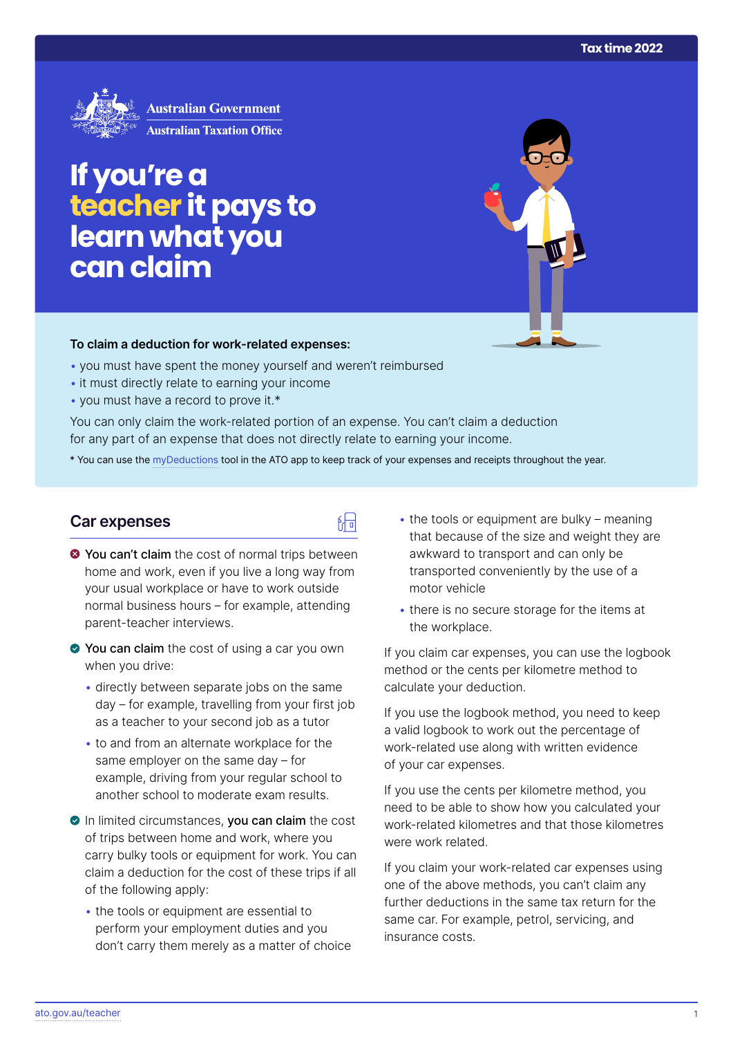

# **If you're a teacher it pays to learn what you can claim**

### **To claim a deduction for work‑related expenses:**

- you must have spent the money yourself and weren't reimbursed
- it must directly relate to earning your income
- you must have a record to prove it.\*

You can only claim the work-related portion of an expense. You can't claim a deduction for any part of an expense that does not directly relate to earning your income.

\* You can use the [myDeductions](https://ato.gov.au/mydeductions) tool in the ATO app to keep track of your expenses and receipts throughout the year.

品

# **Car expenses**

- $\bullet$  You can't claim the cost of normal trips between home and work, even if you live a long way from your usual workplace or have to work outside normal business hours – for example, attending parent-teacher interviews.
- ◆ You can claim the cost of using a car you own when you drive:
	- directly between separate jobs on the same day – for example, travelling from your first job as a teacher to your second job as a tutor
	- to and from an alternate workplace for the same employer on the same day – for example, driving from your regular school to another school to moderate exam results.
- In limited circumstances, you can claim the cost of trips between home and work, where you carry bulky tools or equipment for work. You can claim a deduction for the cost of these trips if all of the following apply:
	- the tools or equipment are essential to perform your employment duties and you don't carry them merely as a matter of choice
- $\bullet$  the tools or equipment are bulky meaning that because of the size and weight they are awkward to transport and can only be transported conveniently by the use of a motor vehicle
- there is no secure storage for the items at the workplace.

If you claim car expenses, you can use the logbook method or the cents per kilometre method to calculate your deduction.

If you use the logbook method, you need to keep a valid logbook to work out the percentage of work-related use along with written evidence of your car expenses.

If you use the cents per kilometre method, you need to be able to show how you calculated your work-related kilometres and that those kilometres were work related.

If you claim your work-related car expenses using one of the above methods, you can't claim any further deductions in the same tax return for the same car. For example, petrol, servicing, and insurance costs.